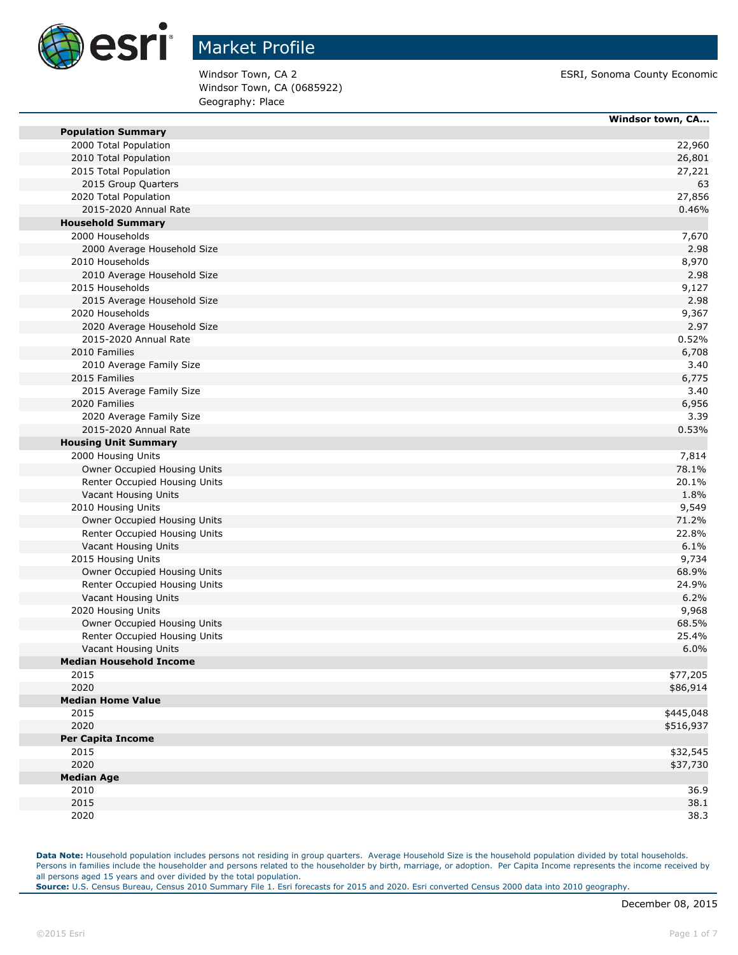

Windsor Town, CA (0685922) Geography: Place

Windsor Town, CA 2 ESRI, Sonoma County Economic

|                                                        | Windsor town, CA |
|--------------------------------------------------------|------------------|
| <b>Population Summary</b>                              |                  |
| 2000 Total Population                                  | 22,960           |
| 2010 Total Population                                  | 26,801           |
| 2015 Total Population                                  | 27,221           |
| 2015 Group Quarters                                    | 63               |
| 2020 Total Population                                  | 27,856           |
| 2015-2020 Annual Rate                                  | 0.46%            |
| <b>Household Summary</b>                               |                  |
| 2000 Households                                        | 7,670            |
| 2000 Average Household Size                            | 2.98             |
| 2010 Households                                        | 8,970            |
| 2010 Average Household Size                            | 2.98             |
| 2015 Households                                        | 9,127            |
| 2015 Average Household Size                            | 2.98             |
| 2020 Households                                        | 9,367            |
| 2020 Average Household Size                            | 2.97             |
| 2015-2020 Annual Rate                                  | 0.52%            |
| 2010 Families                                          | 6,708            |
| 2010 Average Family Size                               | 3.40             |
| 2015 Families                                          | 6,775            |
| 2015 Average Family Size                               | 3.40             |
| 2020 Families                                          | 6,956            |
| 2020 Average Family Size                               | 3.39             |
| 2015-2020 Annual Rate                                  | 0.53%            |
| <b>Housing Unit Summary</b>                            |                  |
| 2000 Housing Units                                     | 7,814            |
| Owner Occupied Housing Units                           | 78.1%            |
| Renter Occupied Housing Units                          | 20.1%            |
| Vacant Housing Units                                   | 1.8%             |
| 2010 Housing Units                                     | 9,549            |
| Owner Occupied Housing Units                           | 71.2%            |
| Renter Occupied Housing Units                          | 22.8%            |
| Vacant Housing Units                                   | 6.1%             |
| 2015 Housing Units                                     | 9,734            |
| Owner Occupied Housing Units                           | 68.9%            |
| Renter Occupied Housing Units                          | 24.9%            |
| Vacant Housing Units                                   | 6.2%             |
| 2020 Housing Units                                     | 9,968            |
| Owner Occupied Housing Units                           | 68.5%<br>25.4%   |
| Renter Occupied Housing Units                          | 6.0%             |
| Vacant Housing Units<br><b>Median Household Income</b> |                  |
| 2015                                                   | \$77,205         |
| 2020                                                   | \$86,914         |
| <b>Median Home Value</b>                               |                  |
| 2015                                                   | \$445,048        |
| 2020                                                   | \$516,937        |
| <b>Per Capita Income</b>                               |                  |
| 2015                                                   | \$32,545         |
| 2020                                                   | \$37,730         |
| <b>Median Age</b>                                      |                  |
| 2010                                                   | 36.9             |
| 2015                                                   | 38.1             |
| 2020                                                   | 38.3             |
|                                                        |                  |

**Data Note:** Household population includes persons not residing in group quarters. Average Household Size is the household population divided by total households. Persons in families include the householder and persons related to the householder by birth, marriage, or adoption. Per Capita Income represents the income received by all persons aged 15 years and over divided by the total population.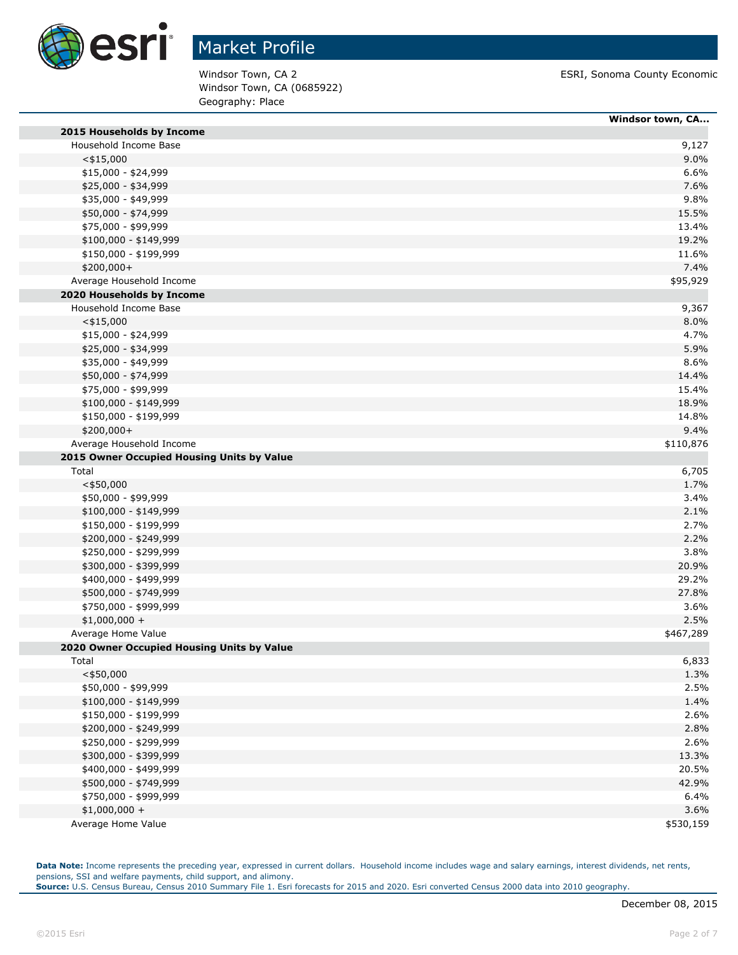

Windsor Town, CA (0685922) Geography: Place

Windsor Town, CA 2 **ESRI**, Sonoma County Economic

|                                            | Windsor town, CA |
|--------------------------------------------|------------------|
| 2015 Households by Income                  |                  |
| Household Income Base                      | 9,127            |
| $<$ \$15,000                               | 9.0%             |
| \$15,000 - \$24,999                        | 6.6%             |
| \$25,000 - \$34,999                        | 7.6%             |
| \$35,000 - \$49,999                        | 9.8%             |
| \$50,000 - \$74,999                        | 15.5%            |
| \$75,000 - \$99,999                        | 13.4%            |
| $$100,000 - $149,999$                      | 19.2%            |
| \$150,000 - \$199,999                      | 11.6%            |
| \$200,000+                                 | 7.4%             |
| Average Household Income                   | \$95,929         |
| 2020 Households by Income                  |                  |
| Household Income Base                      | 9,367            |
| $<$ \$15,000                               | 8.0%             |
| \$15,000 - \$24,999                        | 4.7%             |
| \$25,000 - \$34,999                        | 5.9%             |
| \$35,000 - \$49,999                        | 8.6%             |
| \$50,000 - \$74,999                        | 14.4%            |
| \$75,000 - \$99,999                        | 15.4%            |
| \$100,000 - \$149,999                      | 18.9%            |
| \$150,000 - \$199,999                      | 14.8%            |
| \$200,000+                                 | 9.4%             |
| Average Household Income                   | \$110,876        |
| 2015 Owner Occupied Housing Units by Value |                  |
| Total                                      | 6,705            |
| $<$ \$50,000                               | 1.7%             |
| \$50,000 - \$99,999                        | 3.4%             |
| \$100,000 - \$149,999                      | 2.1%             |
| \$150,000 - \$199,999                      | 2.7%             |
| \$200,000 - \$249,999                      | 2.2%             |
| \$250,000 - \$299,999                      | 3.8%             |
| \$300,000 - \$399,999                      | 20.9%            |
| \$400,000 - \$499,999                      | 29.2%            |
| \$500,000 - \$749,999                      | 27.8%            |
| \$750,000 - \$999,999                      | 3.6%             |
| $$1,000,000 +$                             | 2.5%             |
| Average Home Value                         | \$467,289        |
| 2020 Owner Occupied Housing Units by Value |                  |
| Total                                      | 6,833            |
| $<$ \$50,000                               | 1.3%             |
| \$50,000 - \$99,999                        | 2.5%             |
| \$100,000 - \$149,999                      | 1.4%             |
| \$150,000 - \$199,999                      | 2.6%             |
| \$200,000 - \$249,999                      | 2.8%             |
| \$250,000 - \$299,999                      | 2.6%             |
| \$300,000 - \$399,999                      | 13.3%            |
| \$400,000 - \$499,999                      | 20.5%            |
| \$500,000 - \$749,999                      | 42.9%            |
| \$750,000 - \$999,999                      | 6.4%             |
| $$1,000,000 +$                             | 3.6%             |
| Average Home Value                         | \$530,159        |

**Data Note:** Income represents the preceding year, expressed in current dollars. Household income includes wage and salary earnings, interest dividends, net rents, pensions, SSI and welfare payments, child support, and alimony. **Source:** U.S. Census Bureau, Census 2010 Summary File 1. Esri forecasts for 2015 and 2020. Esri converted Census 2000 data into 2010 geography.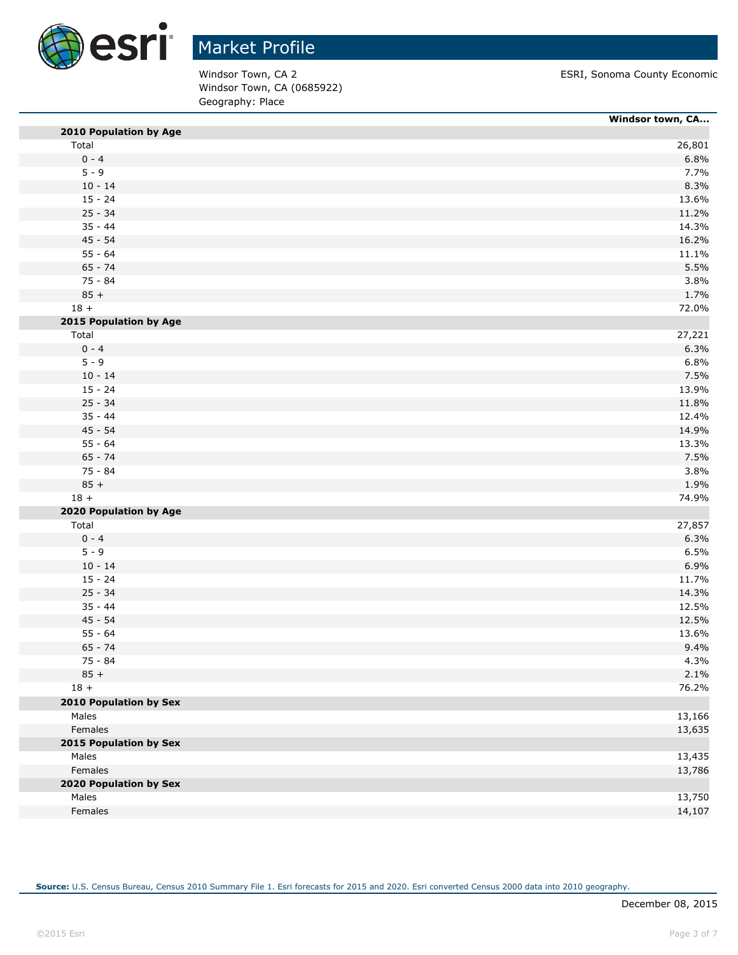

Windsor Town, CA (0685922) Geography: Place

Windsor Town, CA 2 **ESRI**, Sonoma County Economic

|                               | Windsor town, CA |
|-------------------------------|------------------|
| 2010 Population by Age        |                  |
| Total                         | 26,801           |
| $0 - 4$                       | 6.8%             |
| $5 - 9$                       | 7.7%             |
| $10 - 14$                     | 8.3%             |
| $15 - 24$                     | 13.6%            |
| $25 - 34$                     | 11.2%            |
| $35 - 44$                     | 14.3%            |
| $45 - 54$                     | 16.2%            |
| $55 - 64$                     | 11.1%            |
| $65 - 74$                     | 5.5%             |
| 75 - 84                       | 3.8%             |
| $85 +$                        | 1.7%             |
| $18 +$                        | 72.0%            |
| 2015 Population by Age        |                  |
| Total                         | 27,221           |
| $0 - 4$                       | 6.3%             |
| $5 - 9$                       | 6.8%             |
| $10 - 14$                     | 7.5%             |
| $15 - 24$                     | 13.9%            |
| $25 - 34$                     | 11.8%            |
| $35 - 44$                     | 12.4%            |
| $45 - 54$                     | 14.9%            |
| $55 - 64$                     | 13.3%            |
| $65 - 74$                     | 7.5%             |
| 75 - 84                       | 3.8%             |
| $85 +$                        | 1.9%             |
| $18 +$                        | 74.9%            |
| 2020 Population by Age        |                  |
| Total                         | 27,857           |
| $0 - 4$                       | 6.3%             |
| $5 - 9$                       | 6.5%             |
| $10 - 14$                     | 6.9%             |
| $15 - 24$                     | 11.7%            |
| $25 - 34$                     | 14.3%            |
| $35 - 44$                     | 12.5%            |
| $45 - 54$                     | 12.5%            |
| $55 - 64$                     | 13.6%            |
| $65 - 74$                     | 9.4%             |
| 75 - 84                       | 4.3%             |
| $85 +$                        | 2.1%             |
| $18 +$                        | 76.2%            |
| <b>2010 Population by Sex</b> |                  |
| Males                         | 13,166           |
| Females                       | 13,635           |
| 2015 Population by Sex        |                  |
| Males                         | 13,435           |
| Females                       | 13,786           |
| 2020 Population by Sex        |                  |
|                               |                  |
| Males                         | 13,750           |
| Females                       | 14,107           |

**Source:** U.S. Census Bureau, Census 2010 Summary File 1. Esri forecasts for 2015 and 2020. Esri converted Census 2000 data into 2010 geography.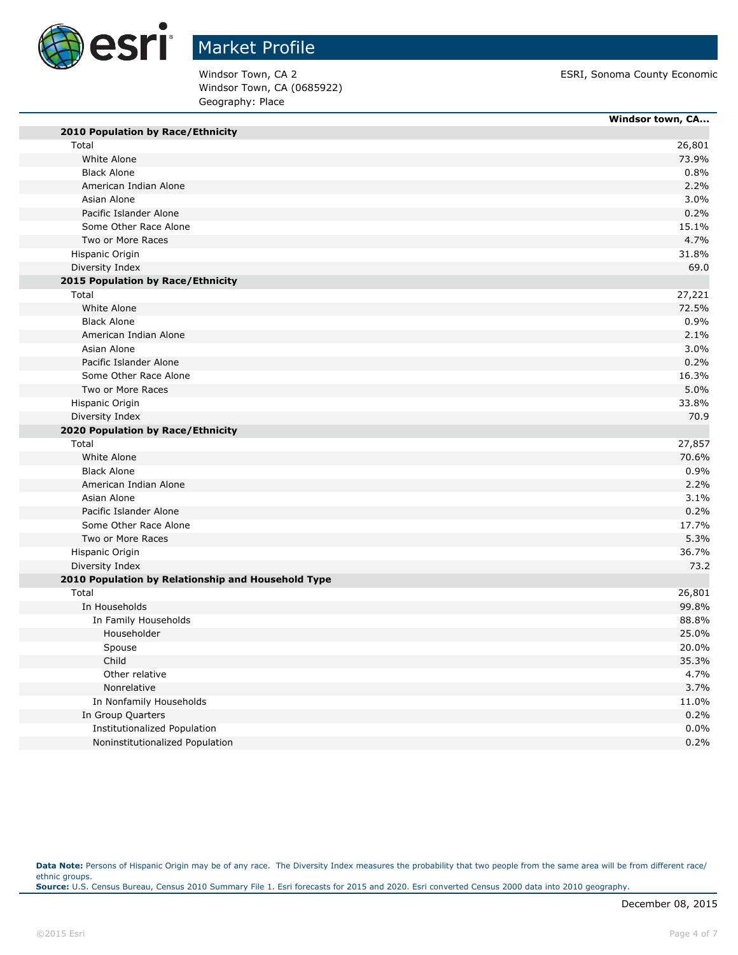

Windsor Town, CA (0685922) Geography: Place

Windsor Town, CA 2 **ESRI**, Sonoma County Economic

|                                                    | Windsor town, CA |
|----------------------------------------------------|------------------|
| 2010 Population by Race/Ethnicity                  |                  |
| Total                                              | 26,801           |
| White Alone                                        | 73.9%            |
| <b>Black Alone</b>                                 | 0.8%             |
| American Indian Alone                              | 2.2%             |
| Asian Alone                                        | 3.0%             |
| Pacific Islander Alone                             | 0.2%             |
| Some Other Race Alone                              | 15.1%            |
| Two or More Races                                  | 4.7%             |
| Hispanic Origin                                    | 31.8%            |
| Diversity Index                                    | 69.0             |
| 2015 Population by Race/Ethnicity                  |                  |
| Total                                              | 27,221           |
| White Alone                                        | 72.5%            |
| <b>Black Alone</b>                                 | 0.9%             |
| American Indian Alone                              | 2.1%             |
| Asian Alone                                        | 3.0%             |
| Pacific Islander Alone                             | 0.2%             |
| Some Other Race Alone                              | 16.3%            |
| Two or More Races                                  | 5.0%             |
| Hispanic Origin                                    | 33.8%            |
| Diversity Index                                    | 70.9             |
| 2020 Population by Race/Ethnicity                  |                  |
| Total                                              | 27,857           |
| White Alone                                        | 70.6%            |
| <b>Black Alone</b>                                 | 0.9%             |
| American Indian Alone                              | 2.2%             |
| Asian Alone                                        | 3.1%             |
| Pacific Islander Alone                             | 0.2%             |
| Some Other Race Alone                              | 17.7%            |
| Two or More Races                                  | 5.3%             |
| Hispanic Origin                                    | 36.7%            |
| Diversity Index                                    | 73.2             |
| 2010 Population by Relationship and Household Type |                  |
| Total                                              | 26,801           |
| In Households                                      | 99.8%            |
| In Family Households                               | 88.8%            |
| Householder                                        | 25.0%            |
| Spouse                                             | 20.0%            |
| Child                                              | 35.3%            |
| Other relative                                     | 4.7%             |
| Nonrelative                                        | 3.7%             |
| In Nonfamily Households                            | 11.0%            |
| In Group Quarters                                  | 0.2%             |
| <b>Institutionalized Population</b>                | 0.0%             |
| Noninstitutionalized Population                    | 0.2%             |

Data Note: Persons of Hispanic Origin may be of any race. The Diversity Index measures the probability that two people from the same area will be from different race/ ethnic groups. **Source:** U.S. Census Bureau, Census 2010 Summary File 1. Esri forecasts for 2015 and 2020. Esri converted Census 2000 data into 2010 geography.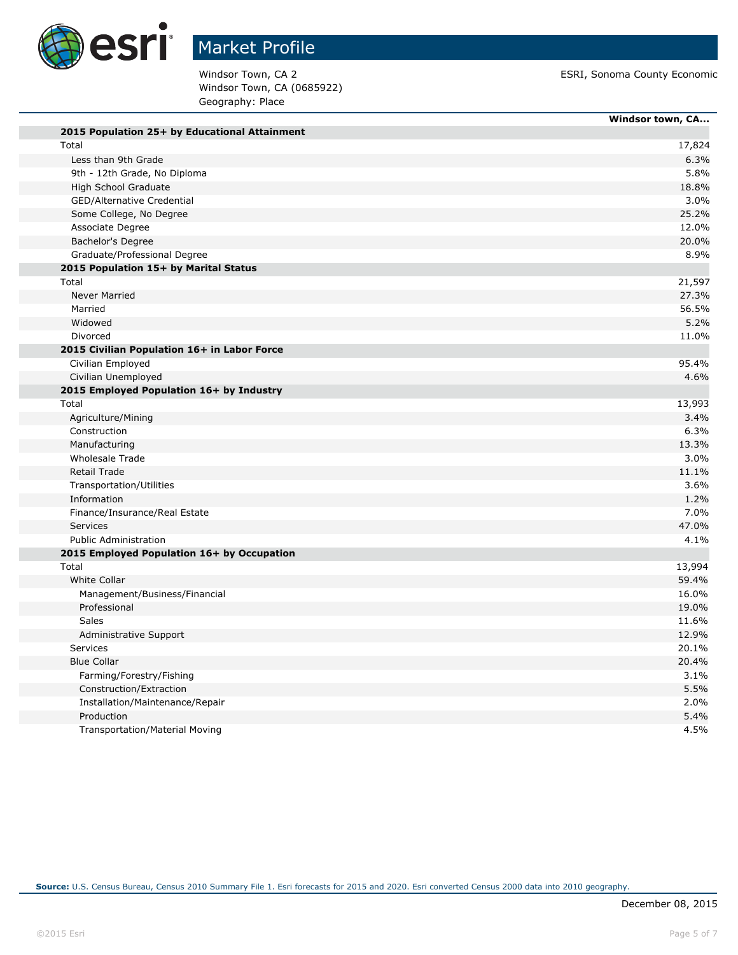

Windsor Town, CA (0685922) Geography: Place

Windsor Town, CA 2 **ESRI**, Sonoma County Economic

|                                               | Windsor town, CA |
|-----------------------------------------------|------------------|
| 2015 Population 25+ by Educational Attainment |                  |
| Total                                         | 17,824           |
| Less than 9th Grade                           | 6.3%             |
| 9th - 12th Grade, No Diploma                  | 5.8%             |
| High School Graduate                          | 18.8%            |
| GED/Alternative Credential                    | 3.0%             |
| Some College, No Degree                       | 25.2%            |
| Associate Degree                              | 12.0%            |
| Bachelor's Degree                             | 20.0%            |
| Graduate/Professional Degree                  | 8.9%             |
| 2015 Population 15+ by Marital Status         |                  |
| Total                                         | 21,597           |
| <b>Never Married</b>                          | 27.3%            |
| Married                                       | 56.5%            |
| Widowed                                       | 5.2%             |
| Divorced                                      | 11.0%            |
| 2015 Civilian Population 16+ in Labor Force   |                  |
| Civilian Employed                             | 95.4%            |
| Civilian Unemployed                           | 4.6%             |
| 2015 Employed Population 16+ by Industry      |                  |
| Total                                         | 13,993           |
| Agriculture/Mining                            | 3.4%             |
| Construction                                  | 6.3%             |
| Manufacturing                                 | 13.3%            |
| <b>Wholesale Trade</b>                        | 3.0%             |
| <b>Retail Trade</b>                           | 11.1%            |
| Transportation/Utilities                      | 3.6%             |
| Information                                   | 1.2%             |
| Finance/Insurance/Real Estate                 | 7.0%             |
| Services                                      | 47.0%            |
| <b>Public Administration</b>                  | 4.1%             |
| 2015 Employed Population 16+ by Occupation    |                  |
| Total                                         | 13,994           |
| <b>White Collar</b>                           | 59.4%            |
| Management/Business/Financial                 | 16.0%            |
| Professional                                  | 19.0%            |
| <b>Sales</b>                                  | 11.6%            |
| Administrative Support                        | 12.9%            |
| <b>Services</b>                               | 20.1%            |
| <b>Blue Collar</b>                            | 20.4%            |
| Farming/Forestry/Fishing                      | 3.1%             |
| Construction/Extraction                       | 5.5%             |
| Installation/Maintenance/Repair               | 2.0%             |
| Production                                    | 5.4%             |
| <b>Transportation/Material Moving</b>         | 4.5%             |
|                                               |                  |

**Source:** U.S. Census Bureau, Census 2010 Summary File 1. Esri forecasts for 2015 and 2020. Esri converted Census 2000 data into 2010 geography.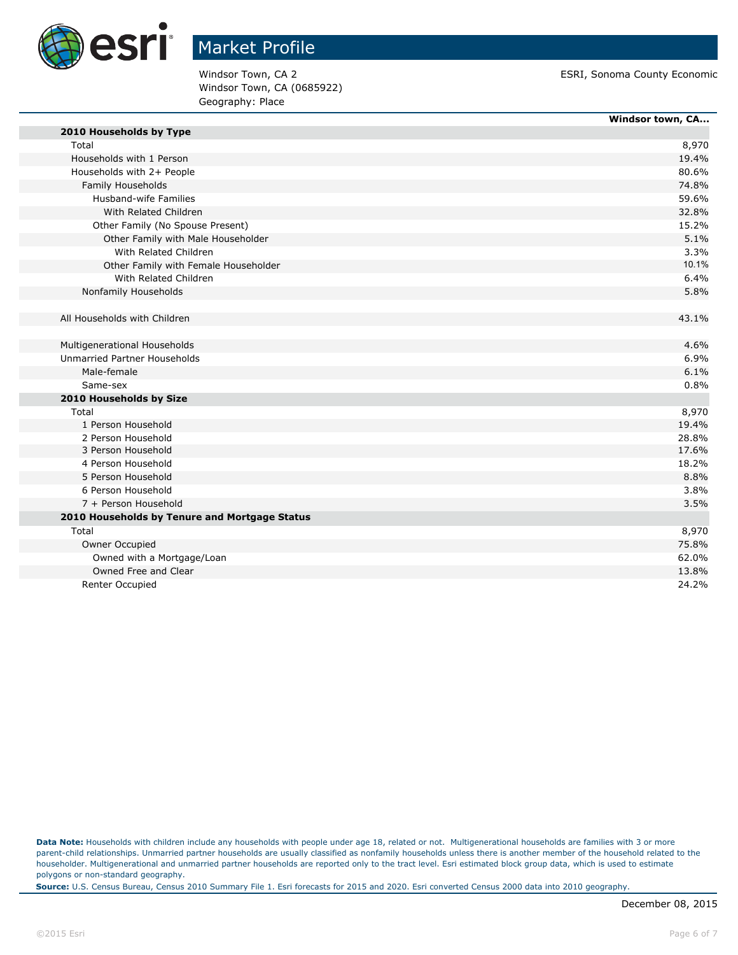

Windsor Town, CA (0685922) Geography: Place

Windsor Town, CA 2 ESRI, Sonoma County Economic

|                                               | Windsor town, CA |
|-----------------------------------------------|------------------|
| 2010 Households by Type                       |                  |
| Total                                         | 8,970            |
| Households with 1 Person                      | 19.4%            |
| Households with 2+ People                     | 80.6%            |
| Family Households                             | 74.8%            |
| Husband-wife Families                         | 59.6%            |
| With Related Children                         | 32.8%            |
| Other Family (No Spouse Present)              | 15.2%            |
| Other Family with Male Householder            | 5.1%             |
| With Related Children                         | 3.3%             |
| Other Family with Female Householder          | 10.1%            |
| With Related Children                         | 6.4%             |
| Nonfamily Households                          | 5.8%             |
| All Households with Children                  | 43.1%            |
| Multigenerational Households                  | 4.6%             |
| Unmarried Partner Households                  | 6.9%             |
| Male-female                                   | 6.1%             |
| Same-sex                                      | 0.8%             |
| 2010 Households by Size                       |                  |
| Total                                         | 8,970            |
| 1 Person Household                            | 19.4%            |
| 2 Person Household                            | 28.8%            |
| 3 Person Household                            | 17.6%            |
| 4 Person Household                            | 18.2%            |
| 5 Person Household                            | 8.8%             |
| 6 Person Household                            | 3.8%             |
| 7 + Person Household                          | 3.5%             |
| 2010 Households by Tenure and Mortgage Status |                  |
| Total                                         | 8,970            |
| Owner Occupied                                | 75.8%            |
| Owned with a Mortgage/Loan                    | 62.0%            |
| Owned Free and Clear                          | 13.8%            |
| <b>Renter Occupied</b>                        | 24.2%            |

**Data Note:** Households with children include any households with people under age 18, related or not. Multigenerational households are families with 3 or more parent-child relationships. Unmarried partner households are usually classified as nonfamily households unless there is another member of the household related to the householder. Multigenerational and unmarried partner households are reported only to the tract level. Esri estimated block group data, which is used to estimate polygons or non-standard geography.

**Source:** U.S. Census Bureau, Census 2010 Summary File 1. Esri forecasts for 2015 and 2020. Esri converted Census 2000 data into 2010 geography.